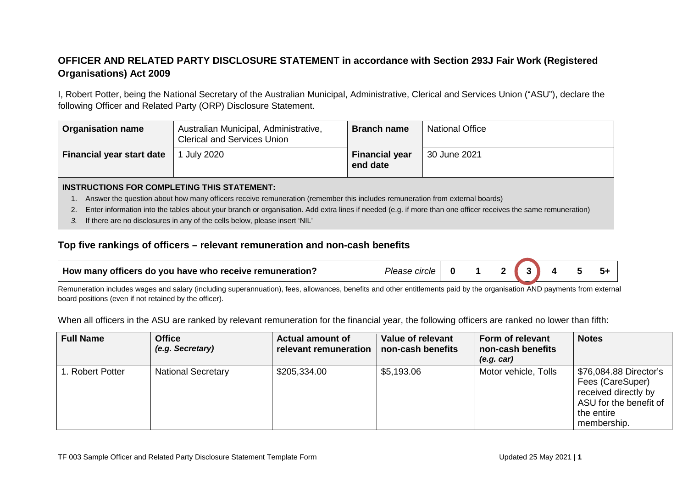## **OFFICER AND RELATED PARTY DISCLOSURE STATEMENT in accordance with Section 293J Fair Work (Registered Organisations) Act 2009**

I, Robert Potter, being the National Secretary of the Australian Municipal, Administrative, Clerical and Services Union ("ASU"), declare the following Officer and Related Party (ORP) Disclosure Statement.

| <b>Organisation name</b>         | Australian Municipal, Administrative,<br><b>Clerical and Services Union</b> | <b>Branch name</b>                | <b>National Office</b> |
|----------------------------------|-----------------------------------------------------------------------------|-----------------------------------|------------------------|
| <b>Financial year start date</b> | <b>July 2020</b>                                                            | <b>Financial year</b><br>end date | 30 June 2021           |

## **INSTRUCTIONS FOR COMPLETING THIS STATEMENT:**

- 1. Answer the question about how many officers receive remuneration (remember this includes remuneration from external boards)
- 2. Enter information into the tables about your branch or organisation. Add extra lines if needed (e.g. if more than one officer receives the same remuneration)
- *3.* If there are no disclosures in any of the cells below, please insert 'NIL'

## **Top five rankings of officers – relevant remuneration and non-cash benefits**

| $\,$ How many officers do you have who receive remuneration $\,$<br>$\sim$<br><i>Please</i><br>слож |  |  |  |
|-----------------------------------------------------------------------------------------------------|--|--|--|
|                                                                                                     |  |  |  |

Remuneration includes wages and salary (including superannuation), fees, allowances, benefits and other entitlements paid by the organisation AND payments from external board positions (even if not retained by the officer).

When all officers in the ASU are ranked by relevant remuneration for the financial year, the following officers are ranked no lower than fifth:

| <b>Full Name</b> | <b>Office</b><br>(e.g. Secretary) | <b>Actual amount of</b><br>relevant remuneration | Value of relevant<br>non-cash benefits | <b>Form of relevant</b><br>non-cash benefits<br>(e.g. car) | <b>Notes</b>                                                                                                              |
|------------------|-----------------------------------|--------------------------------------------------|----------------------------------------|------------------------------------------------------------|---------------------------------------------------------------------------------------------------------------------------|
| 1. Robert Potter | <b>National Secretary</b>         | \$205,334.00                                     | \$5,193.06                             | Motor vehicle, Tolls                                       | \$76,084.88 Director's<br>Fees (CareSuper)<br>received directly by<br>ASU for the benefit of<br>the entire<br>membership. |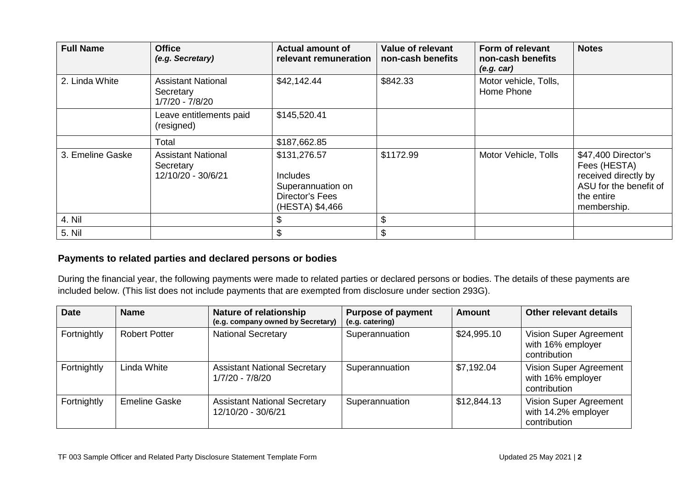| <b>Full Name</b> | <b>Office</b><br>(e.g. Secretary)                            | <b>Actual amount of</b><br>relevant remuneration                                           | <b>Value of relevant</b><br>non-cash benefits | Form of relevant<br>non-cash benefits<br>(e.g. car) | <b>Notes</b>                                                                                                       |
|------------------|--------------------------------------------------------------|--------------------------------------------------------------------------------------------|-----------------------------------------------|-----------------------------------------------------|--------------------------------------------------------------------------------------------------------------------|
| 2. Linda White   | <b>Assistant National</b><br>Secretary<br>1/7/20 - 7/8/20    | \$42,142.44                                                                                | \$842.33                                      | Motor vehicle, Tolls,<br>Home Phone                 |                                                                                                                    |
|                  | Leave entitlements paid<br>(resigned)                        | \$145,520.41                                                                               |                                               |                                                     |                                                                                                                    |
|                  | Total                                                        | \$187,662.85                                                                               |                                               |                                                     |                                                                                                                    |
| 3. Emeline Gaske | <b>Assistant National</b><br>Secretary<br>12/10/20 - 30/6/21 | \$131,276.57<br><b>Includes</b><br>Superannuation on<br>Director's Fees<br>(HESTA) \$4,466 | \$1172.99                                     | Motor Vehicle, Tolls                                | \$47,400 Director's<br>Fees (HESTA)<br>received directly by<br>ASU for the benefit of<br>the entire<br>membership. |
| 4. Nil           |                                                              |                                                                                            | \$                                            |                                                     |                                                                                                                    |
| 5. Nil           |                                                              |                                                                                            | \$                                            |                                                     |                                                                                                                    |

## **Payments to related parties and declared persons or bodies**

During the financial year, the following payments were made to related parties or declared persons or bodies. The details of these payments are included below. (This list does not include payments that are exempted from disclosure under section 293G).

| <b>Date</b> | <b>Name</b>          | <b>Nature of relationship</b><br>(e.g. company owned by Secretary) | <b>Purpose of payment</b><br>(e.g. catering) | <b>Amount</b> | Other relevant details                                        |
|-------------|----------------------|--------------------------------------------------------------------|----------------------------------------------|---------------|---------------------------------------------------------------|
| Fortnightly | <b>Robert Potter</b> | <b>National Secretary</b>                                          | Superannuation                               | \$24,995.10   | Vision Super Agreement<br>with 16% employer<br>contribution   |
| Fortnightly | Linda White          | <b>Assistant National Secretary</b><br>1/7/20 - 7/8/20             | Superannuation                               | \$7,192.04    | Vision Super Agreement<br>with 16% employer<br>contribution   |
| Fortnightly | <b>Emeline Gaske</b> | <b>Assistant National Secretary</b><br>12/10/20 - 30/6/21          | Superannuation                               | \$12,844.13   | Vision Super Agreement<br>with 14.2% employer<br>contribution |